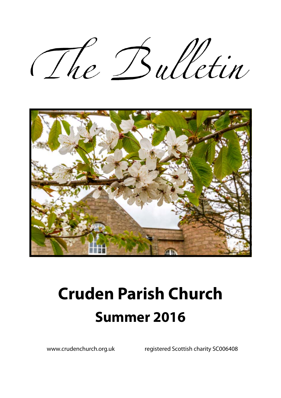The Bulletin



# **Cruden Parish Church Summer 2016**

www.crudenchurch.org.uk registered Scottish charity SC006408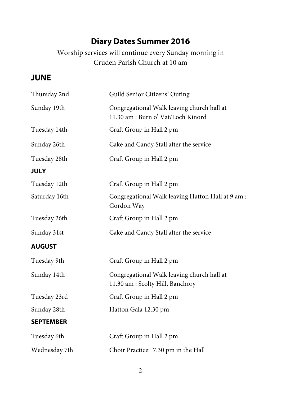# **Diary Dates Summer 2016**

Worship services will continue every Sunday morning in Cruden Parish Church at 10 am

### **JUNE**

| Thursday 2nd     | Guild Senior Citizens' Outing                                                    |  |  |
|------------------|----------------------------------------------------------------------------------|--|--|
| Sunday 19th      | Congregational Walk leaving church hall at<br>11.30 am : Burn o' Vat/Loch Kinord |  |  |
| Tuesday 14th     | Craft Group in Hall 2 pm                                                         |  |  |
| Sunday 26th      | Cake and Candy Stall after the service                                           |  |  |
| Tuesday 28th     | Craft Group in Hall 2 pm                                                         |  |  |
| <b>JULY</b>      |                                                                                  |  |  |
| Tuesday 12th     | Craft Group in Hall 2 pm                                                         |  |  |
| Saturday 16th    | Congregational Walk leaving Hatton Hall at 9 am :<br>Gordon Way                  |  |  |
| Tuesday 26th     | Craft Group in Hall 2 pm                                                         |  |  |
| Sunday 31st      | Cake and Candy Stall after the service                                           |  |  |
| <b>AUGUST</b>    |                                                                                  |  |  |
| Tuesday 9th      | Craft Group in Hall 2 pm                                                         |  |  |
| Sunday 14th      | Congregational Walk leaving church hall at<br>11.30 am : Scolty Hill, Banchory   |  |  |
| Tuesday 23rd     | Craft Group in Hall 2 pm                                                         |  |  |
| Sunday 28th      | Hatton Gala 12.30 pm                                                             |  |  |
| <b>SEPTEMBER</b> |                                                                                  |  |  |
| Tuesday 6th      | Craft Group in Hall 2 pm                                                         |  |  |
| Wednesday 7th    | Choir Practice: 7.30 pm in the Hall                                              |  |  |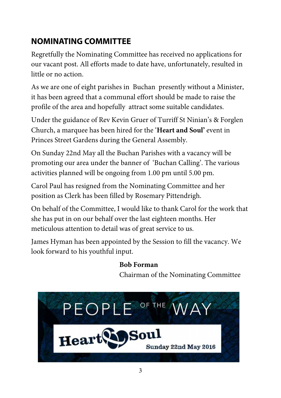# **NOMINATING COMMITTEE**

Regretfully the Nominating Committee has received no applications for our vacant post. All efforts made to date have, unfortunately, resulted in little or no action.

As we are one of eight parishes in Buchan presently without a Minister, it has been agreed that a communal effort should be made to raise the profile of the area and hopefully attract some suitable candidates.

Under the guidance of Rev Kevin Gruer of Turriff St Ninian's & Forglen Church, a marquee has been hired for the '**Heart and Soul'** event in Princes Street Gardens during the General Assembly.

On Sunday 22nd May all the Buchan Parishes with a vacancy will be promoting our area under the banner of 'Buchan Calling'. The various activities planned will be ongoing from 1.00 pm until 5.00 pm.

Carol Paul has resigned from the Nominating Committee and her position as Clerk has been filled by Rosemary Pittendrigh.

On behalf of the Committee, I would like to thank Carol for the work that she has put in on our behalf over the last eighteen months. Her meticulous attention to detail was of great service to us.

James Hyman has been appointed by the Session to fill the vacancy. We look forward to his youthful input.

#### **Bob Forman**

Chairman of the Nominating Committee

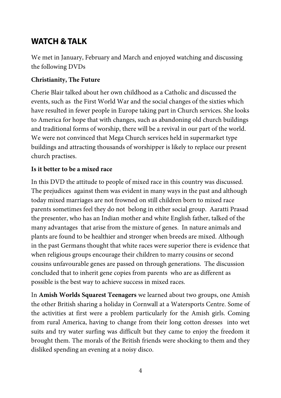### **WATCH & TALK**

We met in January, February and March and enjoyed watching and discussing the following DVDs

#### **Christianity, The Future**

Cherie Blair talked about her own childhood as a Catholic and discussed the events, such as the First World War and the social changes of the sixties which have resulted in fewer people in Europe taking part in Church services. She looks to America for hope that with changes, such as abandoning old church buildings and traditional forms of worship, there will be a revival in our part of the world. We were not convinced that Mega Church services held in supermarket type buildings and attracting thousands of worshipper is likely to replace our present church practises.

#### **Is it better to be a mixed race**

In this DVD the attitude to people of mixed race in this country was discussed. The prejudices against them was evident in many ways in the past and although today mixed marriages are not frowned on still children born to mixed race parents sometimes feel they do not belong in either social group. Aaratti Prasad the presenter, who has an Indian mother and white English father, talked of the many advantages that arise from the mixture of genes. In nature animals and plants are found to be healthier and stronger when breeds are mixed. Although in the past Germans thought that white races were superior there is evidence that when religious groups encourage their children to marry cousins or second cousins unfavourable genes are passed on through generations. The discussion concluded that to inherit gene copies from parents who are as different as possible is the best way to achieve success in mixed races.

In **Amish Worlds Squarest Teenagers** we learned about two groups, one Amish the other British sharing a holiday in Cornwall at a Watersports Centre. Some of the activities at first were a problem particularly for the Amish girls. Coming from rural America, having to change from their long cotton dresses into wet suits and try water surfing was difficult but they came to enjoy the freedom it brought them. The morals of the British friends were shocking to them and they disliked spending an evening at a noisy disco.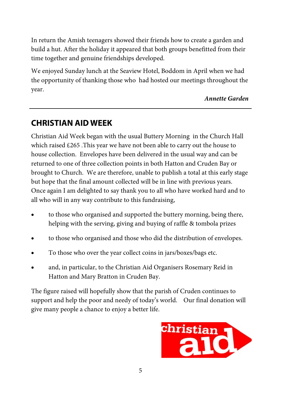In return the Amish teenagers showed their friends how to create a garden and build a hut. After the holiday it appeared that both groups benefitted from their time together and genuine friendships developed.

We enjoyed Sunday lunch at the Seaview Hotel, Boddom in April when we had the opportunity of thanking those who had hosted our meetings throughout the year.

#### *Annette Garden*

### **CHRISTIAN AID WEEK**

Christian Aid Week began with the usual Buttery Morning in the Church Hall which raised  $£265$ . This year we have not been able to carry out the house to house collection. Envelopes have been delivered in the usual way and can be returned to one of three collection points in both Hatton and Cruden Bay or brought to Church. We are therefore, unable to publish a total at this early stage but hope that the final amount collected will be in line with previous years. Once again I am delighted to say thank you to all who have worked hard and to all who will in any way contribute to this fundraising,

- to those who organised and supported the buttery morning, being there, helping with the serving, giving and buying of raffle & tombola prizes
- to those who organised and those who did the distribution of envelopes.
- To those who over the year collect coins in jars/boxes/bags etc.
- and, in particular, to the Christian Aid Organisers Rosemary Reid in Hatton and Mary Bratton in Cruden Bay.

The figure raised will hopefully show that the parish of Cruden continues to support and help the poor and needy of today's world. Our final donation will give many people a chance to enjoy a better life.

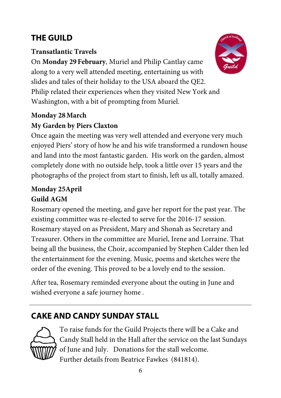# **THE GUILD**

#### **Transatlantic Travels**

On **Monday 29February**, Muriel and Philip Cantlay came along to a very well attended meeting, entertaining us with slides and tales of their holiday to the USA aboard the QE2. Philip related their experiences when they visited New York and Washington, with a bit of prompting from Muriel.

#### **Monday 28March My Garden by Piers Claxton**

Once again the meeting was very well attended and everyone very much enjoyed Piers' story of how he and his wife transformed a rundown house and land into the most fantastic garden. His work on the garden, almost completely done with no outside help, took a little over 15 years and the photographs of the project from start to finish, left us all, totally amazed.

### **Monday 25April**

### **Guild AGM**

Rosemary opened the meeting, and gave her report for the past year. The existing committee was re-elected to serve for the 2016-17 session. Rosemary stayed on as President, Mary and Shonah as Secretary and Treasurer. Others in the committee are Muriel, Irene and Lorraine. That being all the business, the Choir, accompanied by Stephen Calder then led the entertainment for the evening. Music, poems and sketches were the order of the evening. This proved to be a lovely end to the session.

After tea, Rosemary reminded everyone about the outing in June and wished everyone a safe journey home .

# **CAKE AND CANDY SUNDAY STALL**



To raise funds for the Guild Projects there will be a Cake and Candy Stall held in the Hall after the service on the last Sundays of June and July. Donations for the stall welcome. Further details from Beatrice Fawkes (841814).

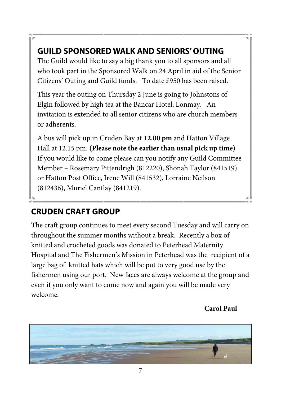# **GUILD SPONSORED WALK AND SENIORS' OUTING**

The Guild would like to say a big thank you to all sponsors and all who took part in the Sponsored Walk on 24 April in aid of the Senior Citizens' Outing and Guild funds. To date £950 has been raised.

This year the outing on Thursday 2 June is going to Johnstons of Elgin followed by high tea at the Bancar Hotel, Lonmay. An invitation is extended to all senior citizens who are church members or adherents.

A bus will pick up in Cruden Bay at **12.00 pm** and Hatton Village Hall at 12.15 pm. **(Please note the earlier than usual pick up time)**  If you would like to come please can you notify any Guild Committee Member – Rosemary Pittendrigh (812220), Shonah Taylor (841519) or Hatton Post Office, Irene Will (841532), Lorraine Neilson (812436), Muriel Cantlay (841219).

# **CRUDEN CRAFT GROUP**

The craft group continues to meet every second Tuesday and will carry on throughout the summer months without a break. Recently a box of knitted and crocheted goods was donated to Peterhead Maternity Hospital and The Fishermen's Mission in Peterhead was the recipient of a large bag of knitted hats which will be put to very good use by the fishermen using our port. New faces are always welcome at the group and even if you only want to come now and again you will be made very welcome.

**Carol Paul** 

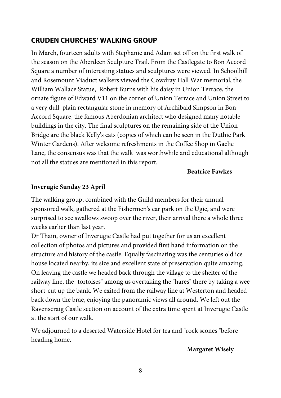#### **CRUDEN CHURCHES' WALKING GROUP**

In March, fourteen adults with Stephanie and Adam set off on the first walk of the season on the Aberdeen Sculpture Trail. From the Castlegate to Bon Accord Square a number of interesting statues and sculptures were viewed. In Schoolhill and Rosemount Viaduct walkers viewed the Cowdray Hall War memorial, the William Wallace Statue, Robert Burns with his daisy in Union Terrace, the ornate figure of Edward V11 on the corner of Union Terrace and Union Street to a very dull plain rectangular stone in memory of Archibald Simpson in Bon Accord Square, the famous Aberdonian architect who designed many notable buildings in the city. The final sculptures on the remaining side of the Union Bridge are the black Kelly's cats (copies of which can be seen in the Duthie Park Winter Gardens). After welcome refreshments in the Coffee Shop in Gaelic Lane, the consensus was that the walk was worthwhile and educational although not all the statues are mentioned in this report.

#### **Beatrice Fawkes**

#### **Inverugie Sunday 23 April**

The walking group, combined with the Guild members for their annual sponsored walk, gathered at the Fishermen's car park on the Ugie, and were surprised to see swallows swoop over the river, their arrival there a whole three weeks earlier than last year.

Dr Thain, owner of Inverugie Castle had put together for us an excellent collection of photos and pictures and provided first hand information on the structure and history of the castle. Equally fascinating was the centuries old ice house located nearby, its size and excellent state of preservation quite amazing. On leaving the castle we headed back through the village to the shelter of the railway line, the "tortoises" among us overtaking the "hares" there by taking a wee short-cut up the bank. We exited from the railway line at Westerton and headed back down the brae, enjoying the panoramic views all around. We left out the Ravenscraig Castle section on account of the extra time spent at Inverugie Castle at the start of our walk.

We adjourned to a deserted Waterside Hotel for tea and "rock scones "before heading home.

#### **Margaret Wisely**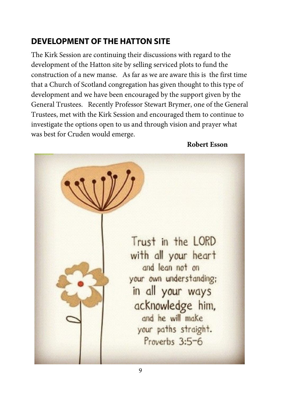### **DEVELOPMENT OF THE HATTON SITE**

The Kirk Session are continuing their discussions with regard to the development of the Hatton site by selling serviced plots to fund the construction of a new manse. As far as we are aware this is the first time that a Church of Scotland congregation has given thought to this type of development and we have been encouraged by the support given by the General Trustees. Recently Professor Stewart Brymer, one of the General Trustees, met with the Kirk Session and encouraged them to continue to investigate the options open to us and through vision and prayer what was best for Cruden would emerge.

 **Robert Esson** 

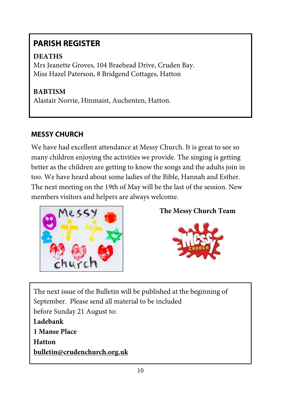# **PARISH REGISTER**

### **DEATHS**

Mrs Jeanette Groves, 104 Braehead Drive, Cruden Bay. Miss Hazel Paterson, 8 Bridgend Cottages, Hatton

### **BABTISM**

Alastair Norrie, Hinmaist, Auchenten, Hatton.

### **MESSY CHURCH**

We have had excellent attendance at Messy Church. It is great to see so many children enjoying the activities we provide. The singing is getting better as the children are getting to know the songs and the adults join in too. We have heard about some ladies of the Bible, Hannah and Esther. The next meeting on the 19th of May will be the last of the session. New members visitors and helpers are always welcome.



**The Messy Church Team** 



The next issue of the Bulletin will be published at the beginning of September. Please send all material to be included before Sunday 21 August to: **Ladebank 1 Manse Place Hatton bulletin@crudenchurch.org.uk**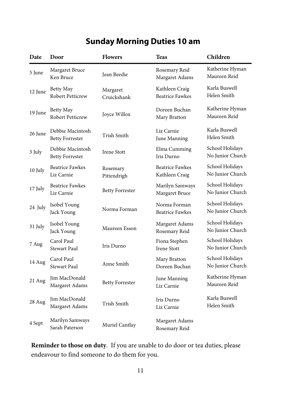# **Sunday Morning Duties 10 am**

| Date    | Door                                       | <b>Flowers</b>          | <b>Teas</b>                              | Children                            |
|---------|--------------------------------------------|-------------------------|------------------------------------------|-------------------------------------|
| 5 June  | Margaret Bruce<br>Ken Bruce                | Jean Beedie             | Rosemary Reid<br>Margaret Adams          | Katherine Hyman<br>Maureen Reid     |
| 12 June | Betty May<br>Robert Petticrew              | Margaret<br>Cruickshank | Kathleen Craig<br><b>Beatrice Fawkes</b> | Karla Buswell<br>Helen Smith        |
| 19 June | Betty May<br>Robert Petticrew              | Joyce Willox            | Doreen Buchan<br>Mary Bratton            | Katherine Hyman<br>Maureen Reid     |
| 26 June | Debbie Macintosh<br><b>Betty Forrester</b> | Trish Smith             | Liz Carnie<br>June Manning               | Karla Buswell<br>Helen Smith        |
| 3 July  | Debbie Macintosh<br><b>Betty Forrester</b> | <b>Irene Stott</b>      | Elma Cumming<br>Iris Durno               | School Holidays<br>No Junior Church |
| 10 July | <b>Beatrice Fawkes</b><br>Liz Carnie       | Rosemary<br>Pittendrigh | <b>Beatrice Fawkes</b><br>Kathleen Craig | School Holidays<br>No Junior Church |
| 17 July | <b>Beatrice Fawkes</b><br>Liz Carnie       | <b>Betty Forrester</b>  | Marilyn Samways<br>Margaret Bruce        | School Holidays<br>No Junior Church |
| 24 July | Isobel Young<br>Jack Young                 | Norma Forman            | Norma Forman<br><b>Beatrice Fawkes</b>   | School Holidays<br>No Junior Church |
| 31 July | Isobel Young<br>Jack Young                 | Maureen Esson           | Margaret Adams<br>Rosemary Reid          | School Holidays<br>No Junior Church |
| 7 Aug   | Carol Paul<br><b>Stewart Paul</b>          | Iris Durno              | Fiona Stephen<br><b>Irene Stott</b>      | School Holidays<br>No Junior Church |
| 14 Aug  | Carol Paul<br>Stewart Paul                 | Anne Smith              | Mary Bratton<br>Doreen Buchan            | School Holidays<br>No Junior Church |
| 21 Aug  | Jim MacDonald<br>Margaret Adams            | <b>Betty Forrester</b>  | June Manning<br>Liz Carnie               | Katherine Hyman<br>Maureen Reid     |
| 28 Aug  | Jim MacDonald<br>Margaret Adams            | Trish Smith             | Iris Durno<br>Liz Carnie                 | Karla Buswell<br>Helen Smith        |
| 4 Sept  | Marilyn Samways<br>Sarah Paterson          | Muriel Cantlay          | Margaret Adams<br>Rosemary Reid          |                                     |

**Reminder to those on duty**. If you are unable to do door or tea duties, please endeavour to find someone to do them for you.